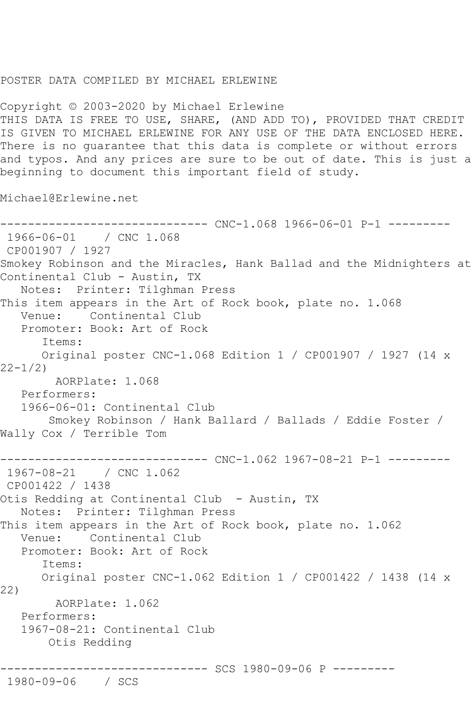## POSTER DATA COMPILED BY MICHAEL ERLEWINE

Copyright © 2003-2020 by Michael Erlewine THIS DATA IS FREE TO USE, SHARE, (AND ADD TO), PROVIDED THAT CREDIT IS GIVEN TO MICHAEL ERLEWINE FOR ANY USE OF THE DATA ENCLOSED HERE. There is no guarantee that this data is complete or without errors and typos. And any prices are sure to be out of date. This is just a beginning to document this important field of study.

Michael@Erlewine.net

```
------------------------------ CNC-1.068 1966-06-01 P-1 ---------
1966-06-01 / CNC 1.068
CP001907 / 1927
Smokey Robinson and the Miracles, Hank Ballad and the Midnighters at 
Continental Club - Austin, TX
   Notes: Printer: Tilghman Press
This item appears in the Art of Rock book, plate no. 1.068<br>Venue: Continental Club
           Continental Club
   Promoter: Book: Art of Rock
       Items:
      Original poster CNC-1.068 Edition 1 / CP001907 / 1927 (14 x 
22-1/2)
        AORPlate: 1.068 
   Performers:
   1966-06-01: Continental Club
        Smokey Robinson / Hank Ballard / Ballads / Eddie Foster / 
Wally Cox / Terrible Tom
------------------------------ CNC-1.062 1967-08-21 P-1 ---------
1967-08-21 / CNC 1.062
CP001422 / 1438
Otis Redding at Continental Club - Austin, TX
   Notes: Printer: Tilghman Press
This item appears in the Art of Rock book, plate no. 1.062
   Venue: Continental Club
   Promoter: Book: Art of Rock
       Items:
      Original poster CNC-1.062 Edition 1 / CP001422 / 1438 (14 x 
22)
        AORPlate: 1.062 
   Performers:
   1967-08-21: Continental Club
        Otis Redding
------------------------------ SCS 1980-09-06 P ---------
1980-09-06 / SCS
```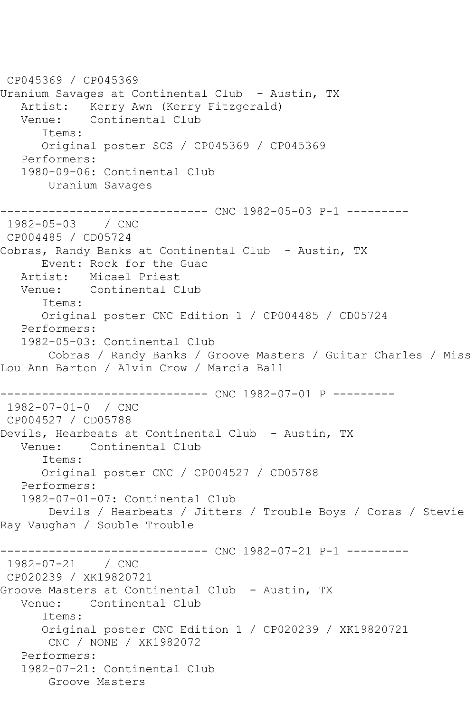CP045369 / CP045369 Uranium Savages at Continental Club - Austin, TX Artist: Kerry Awn (Kerry Fitzgerald) Venue: Continental Club Items: Original poster SCS / CP045369 / CP045369 Performers: 1980-09-06: Continental Club Uranium Savages ----------------------------- CNC 1982-05-03 P-1 ---------1982-05-03 / CNC CP004485 / CD05724 Cobras, Randy Banks at Continental Club - Austin, TX Event: Rock for the Guac Artist: Micael Priest Venue: Continental Club Items: Original poster CNC Edition 1 / CP004485 / CD05724 Performers: 1982-05-03: Continental Club Cobras / Randy Banks / Groove Masters / Guitar Charles / Miss Lou Ann Barton / Alvin Crow / Marcia Ball ------------------- CNC 1982-07-01 P ---------1982-07-01-0 / CNC CP004527 / CD05788 Devils, Hearbeats at Continental Club - Austin, TX Venue: Continental Club Items: Original poster CNC / CP004527 / CD05788 Performers: 1982-07-01-07: Continental Club Devils / Hearbeats / Jitters / Trouble Boys / Coras / Stevie Ray Vaughan / Souble Trouble ------------------------------ CNC 1982-07-21 P-1 --------- 1982-07-21 / CNC CP020239 / XK19820721 Groove Masters at Continental Club - Austin, TX Venue: Continental Club Items: Original poster CNC Edition 1 / CP020239 / XK19820721 CNC / NONE / XK1982072 Performers: 1982-07-21: Continental Club Groove Masters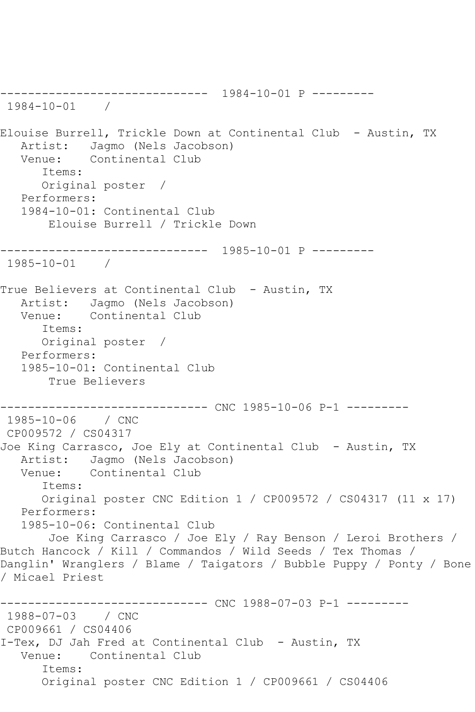------------------------------ 1984-10-01 P --------- 1984-10-01 / Elouise Burrell, Trickle Down at Continental Club - Austin, TX Artist: Jagmo (Nels Jacobson)<br>Venue: Continental Club Continental Club Items: Original poster / Performers: 1984-10-01: Continental Club Elouise Burrell / Trickle Down ------------------------------ 1985-10-01 P --------- 1985-10-01 / True Believers at Continental Club - Austin, TX Artist: Jagmo (Nels Jacobson) Venue: Continental Club Items: Original poster / Performers: 1985-10-01: Continental Club True Believers ------------------------------ CNC 1985-10-06 P-1 --------- 1985-10-06 / CNC CP009572 / CS04317 Joe King Carrasco, Joe Ely at Continental Club - Austin, TX Artist: Jagmo (Nels Jacobson)<br>Venue: Continental Club Continental Club Items: Original poster CNC Edition 1 / CP009572 / CS04317 (11 x 17) Performers: 1985-10-06: Continental Club Joe King Carrasco / Joe Ely / Ray Benson / Leroi Brothers / Butch Hancock / Kill / Commandos / Wild Seeds / Tex Thomas / Danglin' Wranglers / Blame / Taigators / Bubble Puppy / Ponty / Bone / Micael Priest ----------- CNC 1988-07-03 P-1 ---------1988-07-03 / CNC CP009661 / CS04406 I-Tex, DJ Jah Fred at Continental Club - Austin, TX Venue: Continental Club Items: Original poster CNC Edition 1 / CP009661 / CS04406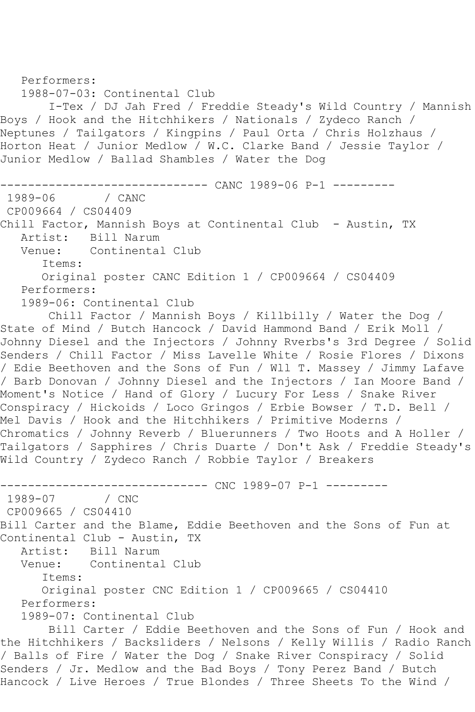```
 Performers:
   1988-07-03: Continental Club
        I-Tex / DJ Jah Fred / Freddie Steady's Wild Country / Mannish 
Boys / Hook and the Hitchhikers / Nationals / Zydeco Ranch / 
Neptunes / Tailgators / Kingpins / Paul Orta / Chris Holzhaus / 
Horton Heat / Junior Medlow / W.C. Clarke Band / Jessie Taylor / 
Junior Medlow / Ballad Shambles / Water the Dog
              ------------------------------ CANC 1989-06 P-1 ---------
1989-06
CP009664 / CS04409
Chill Factor, Mannish Boys at Continental Club - Austin, TX
  Artist: Bill Narum<br>Venue: Continental
            Continental Club
       Items:
       Original poster CANC Edition 1 / CP009664 / CS04409
   Performers:
    1989-06: Continental Club
        Chill Factor / Mannish Boys / Killbilly / Water the Dog / 
State of Mind / Butch Hancock / David Hammond Band / Erik Moll / 
Johnny Diesel and the Injectors / Johnny Rverbs's 3rd Degree / Solid 
Senders / Chill Factor / Miss Lavelle White / Rosie Flores / Dixons 
/ Edie Beethoven and the Sons of Fun / Wll T. Massey / Jimmy Lafave 
/ Barb Donovan / Johnny Diesel and the Injectors / Ian Moore Band / 
Moment's Notice / Hand of Glory / Lucury For Less / Snake River 
Conspiracy / Hickoids / Loco Gringos / Erbie Bowser / T.D. Bell / 
Mel Davis / Hook and the Hitchhikers / Primitive Moderns / 
Chromatics / Johnny Reverb / Bluerunners / Two Hoots and A Holler / 
Tailgators / Sapphires / Chris Duarte / Don't Ask / Freddie Steady's 
Wild Country / Zydeco Ranch / Robbie Taylor / Breakers
------------------------------ CNC 1989-07 P-1 ---------
1989-07
CP009665 / CS04410
Bill Carter and the Blame, Eddie Beethoven and the Sons of Fun at 
Continental Club - Austin, TX
  Artist: Bill Narum<br>Venue: Continental
            Continental Club
       Items:
       Original poster CNC Edition 1 / CP009665 / CS04410
   Performers:
    1989-07: Continental Club
        Bill Carter / Eddie Beethoven and the Sons of Fun / Hook and 
the Hitchhikers / Backsliders / Nelsons / Kelly Willis / Radio Ranch 
/ Balls of Fire / Water the Dog / Snake River Conspiracy / Solid 
Senders / Jr. Medlow and the Bad Boys / Tony Perez Band / Butch
```
Hancock / Live Heroes / True Blondes / Three Sheets To the Wind /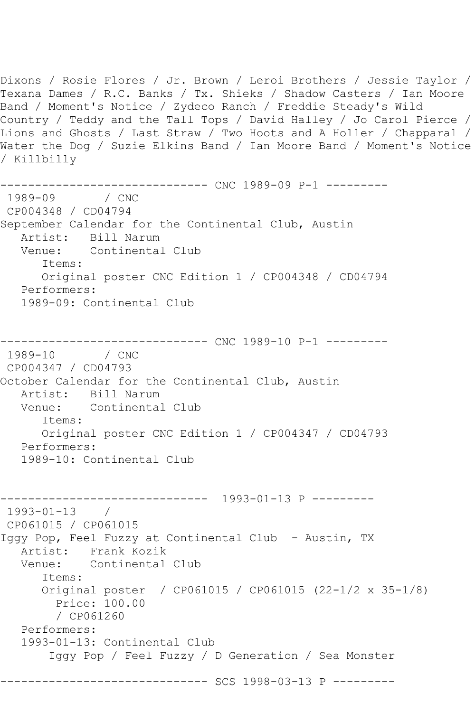Dixons / Rosie Flores / Jr. Brown / Leroi Brothers / Jessie Taylor / Texana Dames / R.C. Banks / Tx. Shieks / Shadow Casters / Ian Moore Band / Moment's Notice / Zydeco Ranch / Freddie Steady's Wild Country / Teddy and the Tall Tops / David Halley / Jo Carol Pierce / Lions and Ghosts / Last Straw / Two Hoots and A Holler / Chapparal / Water the Dog / Suzie Elkins Band / Ian Moore Band / Moment's Notice / Killbilly ------------------------------ CNC 1989-09 P-1 --------- 1989-09 CP004348 / CD04794 September Calendar for the Continental Club, Austin Artist: Bill Narum Venue: Continental Club Items: Original poster CNC Edition 1 / CP004348 / CD04794 Performers: 1989-09: Continental Club ------------------------------ CNC 1989-10 P-1 --------- 1989-10 / CNC CP004347 / CD04793 October Calendar for the Continental Club, Austin Artist: Bill Narum<br>Venue: Continental Continental Club Items: Original poster CNC Edition 1 / CP004347 / CD04793 Performers: 1989-10: Continental Club ------------------------------ 1993-01-13 P --------- 1993-01-13 / CP061015 / CP061015 Iggy Pop, Feel Fuzzy at Continental Club - Austin, TX Artist: Frank Kozik Venue: Continental Club Items: Original poster / CP061015 / CP061015 (22-1/2 x 35-1/8) Price: 100.00 / CP061260 Performers: 1993-01-13: Continental Club Iggy Pop / Feel Fuzzy / D Generation / Sea Monster ------------------------------ SCS 1998-03-13 P ---------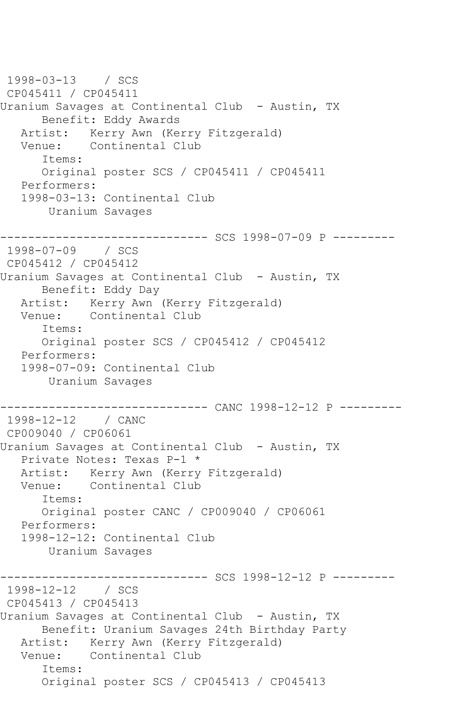1998-03-13 / SCS CP045411 / CP045411 Uranium Savages at Continental Club - Austin, TX Benefit: Eddy Awards Artist: Kerry Awn (Kerry Fitzgerald) Venue: Continental Club Items: Original poster SCS / CP045411 / CP045411 Performers: 1998-03-13: Continental Club Uranium Savages ------------------------------ SCS 1998-07-09 P --------- 1998-07-09 / SCS CP045412 / CP045412 Uranium Savages at Continental Club - Austin, TX Benefit: Eddy Day Artist: Kerry Awn (Kerry Fitzgerald) Venue: Continental Club Items: Original poster SCS / CP045412 / CP045412 Performers: 1998-07-09: Continental Club Uranium Savages ------------------------------ CANC 1998-12-12 P --------- 1998-12-12 / CANC CP009040 / CP06061 Uranium Savages at Continental Club - Austin, TX Private Notes: Texas P-1 \* Artist: Kerry Awn (Kerry Fitzgerald) Venue: Continental Club Items: Original poster CANC / CP009040 / CP06061 Performers: 1998-12-12: Continental Club Uranium Savages ------------------------------ SCS 1998-12-12 P --------- 1998-12-12 / SCS CP045413 / CP045413 Uranium Savages at Continental Club - Austin, TX Benefit: Uranium Savages 24th Birthday Party Artist: Kerry Awn (Kerry Fitzgerald) Venue: Continental Club Items: Original poster SCS / CP045413 / CP045413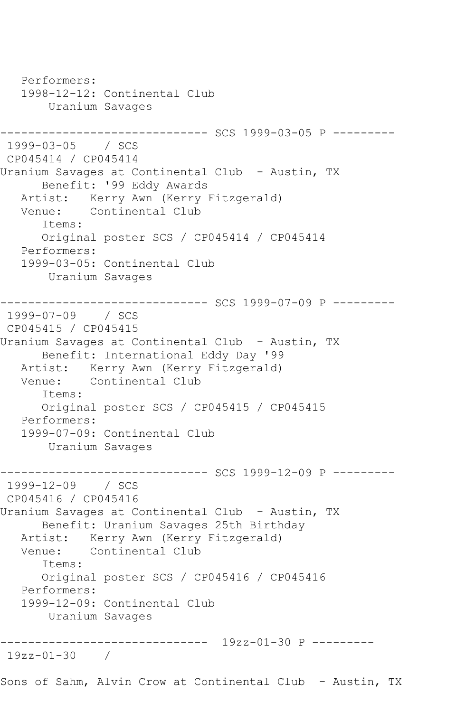Performers: 1998-12-12: Continental Club Uranium Savages ------------------------------ SCS 1999-03-05 P --------- 1999-03-05 / SCS CP045414 / CP045414 Uranium Savages at Continental Club - Austin, TX Benefit: '99 Eddy Awards Artist: Kerry Awn (Kerry Fitzgerald)<br>Venue: Continental Club Continental Club Items: Original poster SCS / CP045414 / CP045414 Performers: 1999-03-05: Continental Club Uranium Savages ------------------------------ SCS 1999-07-09 P --------- 1999-07-09 / SCS CP045415 / CP045415 Uranium Savages at Continental Club - Austin, TX Benefit: International Eddy Day '99 Artist: Kerry Awn (Kerry Fitzgerald)<br>Venue: Continental Club Continental Club Items: Original poster SCS / CP045415 / CP045415 Performers: 1999-07-09: Continental Club Uranium Savages ------------------------------ SCS 1999-12-09 P --------- 1999-12-09 / SCS CP045416 / CP045416 Uranium Savages at Continental Club - Austin, TX Benefit: Uranium Savages 25th Birthday Artist: Kerry Awn (Kerry Fitzgerald)<br>Venue: Continental Club Continental Club Items: Original poster SCS / CP045416 / CP045416 Performers: 1999-12-09: Continental Club Uranium Savages ------------------------------ 19zz-01-30 P --------- 19zz-01-30 / Sons of Sahm, Alvin Crow at Continental Club - Austin, TX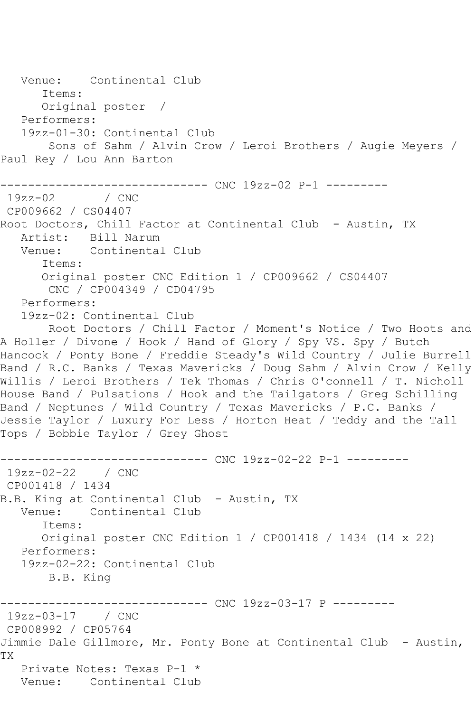Venue: Continental Club Items: Original poster / Performers: 19zz-01-30: Continental Club Sons of Sahm / Alvin Crow / Leroi Brothers / Augie Meyers / Paul Rey / Lou Ann Barton -------------------------------- CNC 19zz-02 P-1 ----------<br>19zz-02 / CNC  $19zz-02$ CP009662 / CS04407 Root Doctors, Chill Factor at Continental Club - Austin, TX Artist: Bill Narum Venue: Continental Club Items: Original poster CNC Edition 1 / CP009662 / CS04407 CNC / CP004349 / CD04795 Performers: 19zz-02: Continental Club Root Doctors / Chill Factor / Moment's Notice / Two Hoots and A Holler / Divone / Hook / Hand of Glory / Spy VS. Spy / Butch Hancock / Ponty Bone / Freddie Steady's Wild Country / Julie Burrell Band / R.C. Banks / Texas Mavericks / Doug Sahm / Alvin Crow / Kelly Willis / Leroi Brothers / Tek Thomas / Chris O'connell / T. Nicholl House Band / Pulsations / Hook and the Tailgators / Greg Schilling Band / Neptunes / Wild Country / Texas Mavericks / P.C. Banks / Jessie Taylor / Luxury For Less / Horton Heat / Teddy and the Tall Tops / Bobbie Taylor / Grey Ghost ------------------------------ CNC 19zz-02-22 P-1 --------- 19zz-02-22 / CNC CP001418 / 1434 B.B. King at Continental Club - Austin, TX<br>Venue: Continental Club Continental Club Items: Original poster CNC Edition 1 / CP001418 / 1434 (14 x 22) Performers: 19zz-02-22: Continental Club B.B. King ----------- CNC 19zz-03-17 P ---------19zz-03-17 / CNC CP008992 / CP05764 Jimmie Dale Gillmore, Mr. Ponty Bone at Continental Club - Austin, TX Private Notes: Texas P-1 \* Venue: Continental Club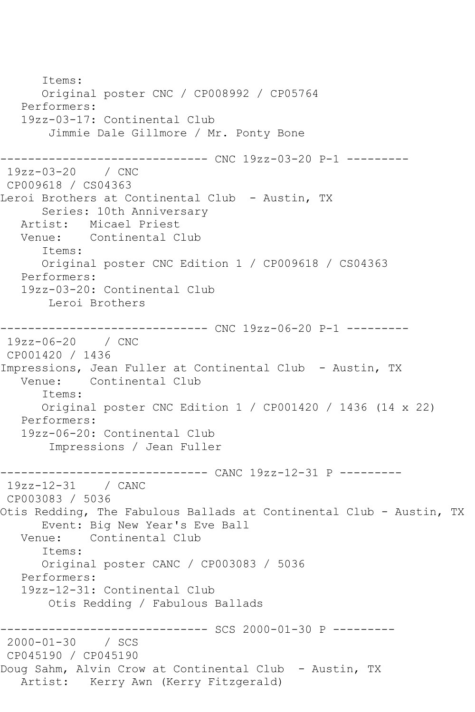Items: Original poster CNC / CP008992 / CP05764 Performers: 19zz-03-17: Continental Club Jimmie Dale Gillmore / Mr. Ponty Bone ------------------------------ CNC 19zz-03-20 P-1 --------- 19zz-03-20 / CNC CP009618 / CS04363 Leroi Brothers at Continental Club - Austin, TX Series: 10th Anniversary Artist: Micael Priest<br>Venue: Continental C Continental Club Items: Original poster CNC Edition 1 / CP009618 / CS04363 Performers: 19zz-03-20: Continental Club Leroi Brothers ------------------------------ CNC 19zz-06-20 P-1 --------- 19zz-06-20 / CNC CP001420 / 1436 Impressions, Jean Fuller at Continental Club - Austin, TX Continental Club Items: Original poster CNC Edition 1 / CP001420 / 1436 (14 x 22) Performers: 19zz-06-20: Continental Club Impressions / Jean Fuller ------------------------------ CANC 19zz-12-31 P --------- 19zz-12-31 / CANC CP003083 / 5036 Otis Redding, The Fabulous Ballads at Continental Club - Austin, TX Event: Big New Year's Eve Ball Venue: Continental Club Items: Original poster CANC / CP003083 / 5036 Performers: 19zz-12-31: Continental Club Otis Redding / Fabulous Ballads ------------ SCS 2000-01-30 P ---------2000-01-30 / SCS CP045190 / CP045190 Doug Sahm, Alvin Crow at Continental Club - Austin, TX Artist: Kerry Awn (Kerry Fitzgerald)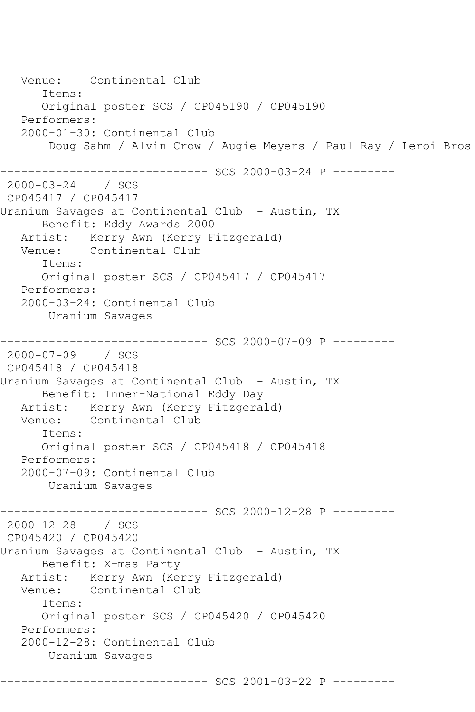```
 Venue: Continental Club
       Items:
       Original poster SCS / CP045190 / CP045190
    Performers:
    2000-01-30: Continental Club
        Doug Sahm / Alvin Crow / Augie Meyers / Paul Ray / Leroi Bros
------------------------------ SCS 2000-03-24 P ---------
2000-03-24 / SCS 
CP045417 / CP045417
Uranium Savages at Continental Club - Austin, TX
       Benefit: Eddy Awards 2000
   Artist: Kerry Awn (Kerry Fitzgerald)
   Venue: Continental Club
       Items:
       Original poster SCS / CP045417 / CP045417
   Performers:
    2000-03-24: Continental Club
        Uranium Savages
------------------------------ SCS 2000-07-09 P ---------
2000-07-09 / SCS 
CP045418 / CP045418
Uranium Savages at Continental Club - Austin, TX
       Benefit: Inner-National Eddy Day
  Artist: Kerry Awn (Kerry Fitzgerald)<br>Venue: Continental Club
           Continental Club
       Items:
       Original poster SCS / CP045418 / CP045418
   Performers:
   2000-07-09: Continental Club
        Uranium Savages
------------------------------ SCS 2000-12-28 P ---------
2000-12-28 / SCS 
CP045420 / CP045420
Uranium Savages at Continental Club - Austin, TX
       Benefit: X-mas Party
  Artist: Kerry Awn (Kerry Fitzgerald)<br>Venue: Continental Club
           Continental Club
       Items:
       Original poster SCS / CP045420 / CP045420
   Performers:
    2000-12-28: Continental Club
        Uranium Savages
------------------------------ SCS 2001-03-22 P ---------
```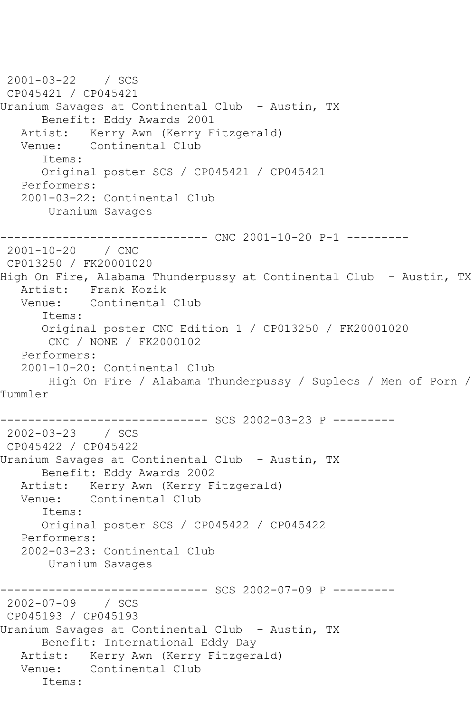```
2001-03-22 / SCS 
CP045421 / CP045421
Uranium Savages at Continental Club - Austin, TX
       Benefit: Eddy Awards 2001
   Artist: Kerry Awn (Kerry Fitzgerald)
   Venue: Continental Club
       Items:
       Original poster SCS / CP045421 / CP045421
   Performers:
   2001-03-22: Continental Club
        Uranium Savages
------------------------------ CNC 2001-10-20 P-1 ---------
2001-10-20 / CNC 
CP013250 / FK20001020
High On Fire, Alabama Thunderpussy at Continental Club - Austin, TX
  Artist: Frank Kozik<br>Venue: Continental
           Continental Club
       Items:
       Original poster CNC Edition 1 / CP013250 / FK20001020
        CNC / NONE / FK2000102
   Performers:
   2001-10-20: Continental Club
       High On Fire / Alabama Thunderpussy / Suplecs / Men of Porn / 
Tummler
------------------------------ SCS 2002-03-23 P ---------
2002-03-23 / SCS 
CP045422 / CP045422
Uranium Savages at Continental Club - Austin, TX
      Benefit: Eddy Awards 2002
   Artist: Kerry Awn (Kerry Fitzgerald)
   Venue: Continental Club
       Items:
       Original poster SCS / CP045422 / CP045422
   Performers:
   2002-03-23: Continental Club
        Uranium Savages
------------------------------ SCS 2002-07-09 P ---------
2002-07-09 / SCS 
CP045193 / CP045193
Uranium Savages at Continental Club - Austin, TX
       Benefit: International Eddy Day
   Artist: Kerry Awn (Kerry Fitzgerald)
   Venue: Continental Club
       Items:
```